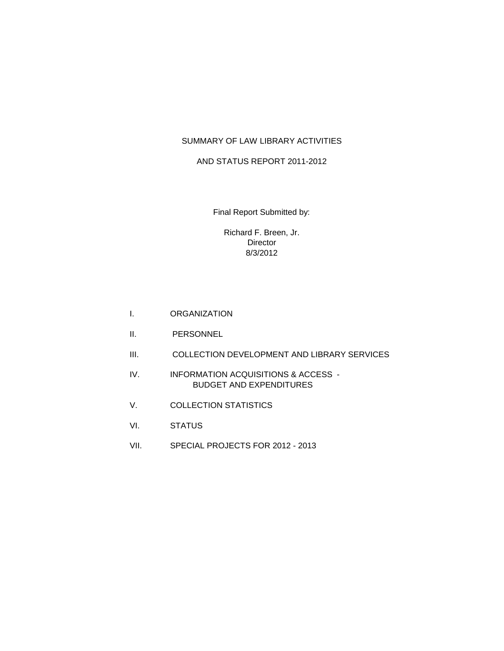## SUMMARY OF LAW LIBRARY ACTIVITIES

#### AND STATUS REPORT 2011-2012

Final Report Submitted by:

Richard F. Breen, Jr. Director 8/3/2012

- I. ORGANIZATION
- II. PERSONNEL
- III. COLLECTION DEVELOPMENT AND LIBRARY SERVICES
- IV. INFORMATION ACQUISITIONS & ACCESS BUDGET AND EXPENDITURES
- V. COLLECTION STATISTICS
- VI. STATUS
- VII. SPECIAL PROJECTS FOR 2012 2013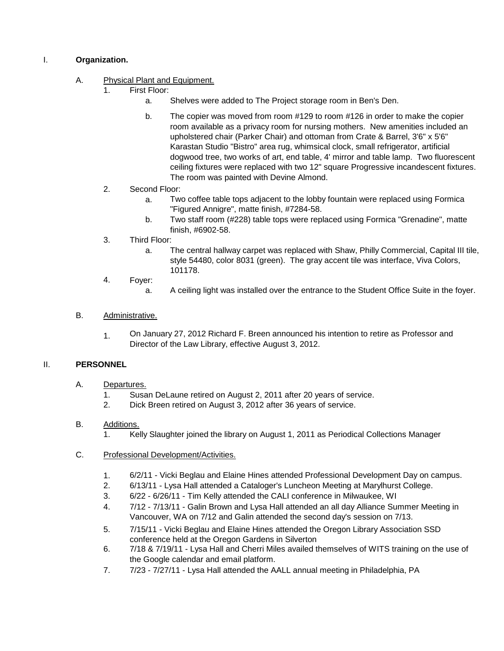## I. **Organization.**

# A. Physical Plant and Equipment.<br>1 First Floor:

- First Floor:
	- a. Shelves were added to The Project storage room in Ben's Den.
	- b. The copier was moved from room #129 to room #126 in order to make the copier room available as a privacy room for nursing mothers. New amenities included an upholstered chair (Parker Chair) and ottoman from Crate & Barrel, 3'6" x 5'6" Karastan Studio "Bistro" area rug, whimsical clock, small refrigerator, artificial dogwood tree, two works of art, end table, 4' mirror and table lamp. Two fluorescent ceiling fixtures were replaced with two 12" square Progressive incandescent fixtures. The room was painted with Devine Almond.
- 2. Second Floor:
	- a. Two coffee table tops adjacent to the lobby fountain were replaced using Formica "Figured Annigre", matte finish, #7284-58.
	- b. Two staff room (#228) table tops were replaced using Formica "Grenadine", matte finish, #6902-58.
- 3. Third Floor:
	- a. The central hallway carpet was replaced with Shaw, Philly Commercial, Capital III tile, style 54480, color 8031 (green). The gray accent tile was interface, Viva Colors, 101178.
- 4. Foyer:
	- a. A ceiling light was installed over the entrance to the Student Office Suite in the foyer.

## B. Administrative.

1. On January 27, 2012 Richard F. Breen announced his intention to retire as Professor and Director of the Law Library, effective August 3, 2012.

#### II. **PERSONNEL**

- A. Departures.
	- 1. Susan DeLaune retired on August 2, 2011 after 20 years of service.
	- 2. Dick Breen retired on August 3, 2012 after 36 years of service.

#### B. Additions.

1. Kelly Slaughter joined the library on August 1, 2011 as Periodical Collections Manager

#### C. Professional Development/Activities.

- 1. 6/2/11 Vicki Beglau and Elaine Hines attended Professional Development Day on campus.
- 2. 6/13/11 - Lysa Hall attended a Cataloger's Luncheon Meeting at Marylhurst College.
- 3. 6/22 - 6/26/11 - Tim Kelly attended the CALI conference in Milwaukee, WI
- 4. 7/12 - 7/13/11 - Galin Brown and Lysa Hall attended an all day Alliance Summer Meeting in Vancouver, WA on 7/12 and Galin attended the second day's session on 7/13.
- 5. 7/15/11 - Vicki Beglau and Elaine Hines attended the Oregon Library Association SSD conference held at the Oregon Gardens in Silverton
- 6. 7/18 & 7/19/11 - Lysa Hall and Cherri Miles availed themselves of WITS training on the use of the Google calendar and email platform.
- 7. 7/23 - 7/27/11 - Lysa Hall attended the AALL annual meeting in Philadelphia, PA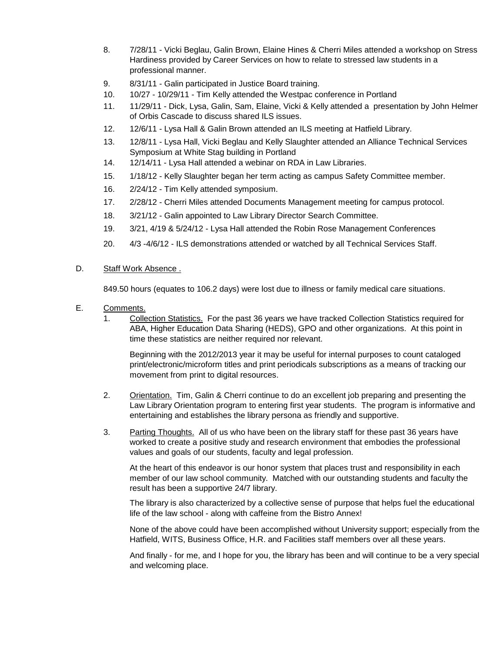- 8. 7/28/11 - Vicki Beglau, Galin Brown, Elaine Hines & Cherri Miles attended a workshop on Stress Hardiness provided by Career Services on how to relate to stressed law students in a professional manner.
- 9. 8/31/11 - Galin participated in Justice Board training.
- 10. 10/27 - 10/29/11 - Tim Kelly attended the Westpac conference in Portland
- 11. 11/29/11 - Dick, Lysa, Galin, Sam, Elaine, Vicki & Kelly attended a presentation by John Helmer of Orbis Cascade to discuss shared ILS issues.
- 12. 12/6/11 - Lysa Hall & Galin Brown attended an ILS meeting at Hatfield Library.
- 13. 12/8/11 - Lysa Hall, Vicki Beglau and Kelly Slaughter attended an Alliance Technical Services Symposium at White Stag building in Portland
- 14. 12/14/11 - Lysa Hall attended a webinar on RDA in Law Libraries.
- 15. 1/18/12 - Kelly Slaughter began her term acting as campus Safety Committee member.
- 16. 2/24/12 - Tim Kelly attended symposium.
- 17. 2/28/12 - Cherri Miles attended Documents Management meeting for campus protocol.
- 18. 3/21/12 Galin appointed to Law Library Director Search Committee.
- 19. 3/21, 4/19 & 5/24/12 Lysa Hall attended the Robin Rose Management Conferences
- 20. 4/3 -4/6/12 - ILS demonstrations attended or watched by all Technical Services Staff.

#### D. Staff Work Absence .

849.50 hours (equates to 106.2 days) were lost due to illness or family medical care situations.

- E. Comments.
	- 1. Collection Statistics. For the past 36 years we have tracked Collection Statistics required for ABA, Higher Education Data Sharing (HEDS), GPO and other organizations. At this point in time these statistics are neither required nor relevant.

Beginning with the 2012/2013 year it may be useful for internal purposes to count cataloged print/electronic/microform titles and print periodicals subscriptions as a means of tracking our movement from print to digital resources.

- 2. Orientation. Tim, Galin & Cherri continue to do an excellent job preparing and presenting the Law Library Orientation program to entering first year students. The program is informative and entertaining and establishes the library persona as friendly and supportive.
- 3. Parting Thoughts. All of us who have been on the library staff for these past 36 years have worked to create a positive study and research environment that embodies the professional values and goals of our students, faculty and legal profession.

At the heart of this endeavor is our honor system that places trust and responsibility in each member of our law school community. Matched with our outstanding students and faculty the result has been a supportive 24/7 library.

The library is also characterized by a collective sense of purpose that helps fuel the educational life of the law school - along with caffeine from the Bistro Annex!

None of the above could have been accomplished without University support; especially from the Hatfield, WITS, Business Office, H.R. and Facilities staff members over all these years.

And finally - for me, and I hope for you, the library has been and will continue to be a very special and welcoming place.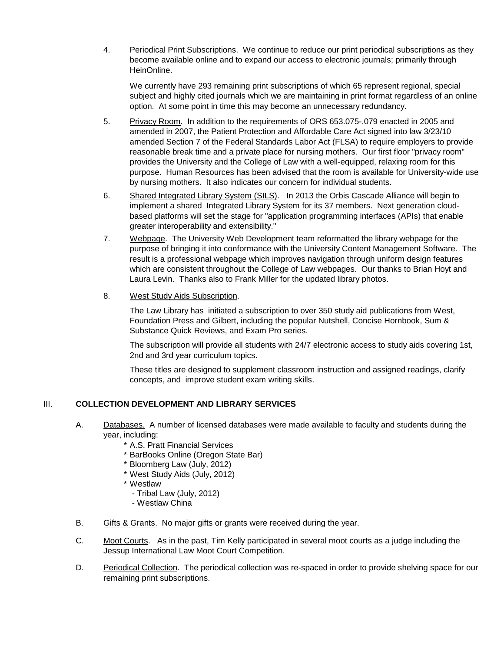4. Periodical Print Subscriptions. We continue to reduce our print periodical subscriptions as they become available online and to expand our access to electronic journals; primarily through HeinOnline.

We currently have 293 remaining print subscriptions of which 65 represent regional, special subject and highly cited journals which we are maintaining in print format regardless of an online option. At some point in time this may become an unnecessary redundancy.

- 5. Privacy Room. In addition to the requirements of ORS 653.075-.079 enacted in 2005 and amended in 2007, the Patient Protection and Affordable Care Act signed into law 3/23/10 amended Section 7 of the Federal Standards Labor Act (FLSA) to require employers to provide reasonable break time and a private place for nursing mothers. Our first floor "privacy room" provides the University and the College of Law with a well-equipped, relaxing room for this purpose. Human Resources has been advised that the room is available for University-wide use by nursing mothers. It also indicates our concern for individual students.
- 6. Shared Integrated Library System (SILS). In 2013 the Orbis Cascade Alliance will begin to implement a shared Integrated Library System for its 37 members. Next generation cloudbased platforms will set the stage for "application programming interfaces (APIs) that enable greater interoperability and extensibility."
- 7. Webpage. The University Web Development team reformatted the library webpage for the purpose of bringing it into conformance with the University Content Management Software. The result is a professional webpage which improves navigation through uniform design features which are consistent throughout the College of Law webpages. Our thanks to Brian Hoyt and Laura Levin. Thanks also to Frank Miller for the updated library photos.
- 8. West Study Aids Subscription.

The Law Library has initiated a subscription to over 350 study aid publications from West, Foundation Press and Gilbert, including the popular Nutshell, Concise Hornbook, Sum & Substance Quick Reviews, and Exam Pro series.

The subscription will provide all students with 24/7 electronic access to study aids covering 1st, 2nd and 3rd year curriculum topics.

These titles are designed to supplement classroom instruction and assigned readings, clarify concepts, and improve student exam writing skills.

# III. **COLLECTION DEVELOPMENT AND LIBRARY SERVICES**

- A. Databases. A number of licensed databases were made available to faculty and students during the year, including:
	- \* A.S. Pratt Financial Services
	- \* BarBooks Online (Oregon State Bar)
	- \* Bloomberg Law (July, 2012)
	- \* West Study Aids (July, 2012)
	- \* Westlaw
		- Tribal Law (July, 2012)
		- Westlaw China
- B. Gifts & Grants. No major gifts or grants were received during the year.
- C. Moot Courts. As in the past, Tim Kelly participated in several moot courts as a judge including the Jessup International Law Moot Court Competition.
- D. Periodical Collection. The periodical collection was re-spaced in order to provide shelving space for our remaining print subscriptions.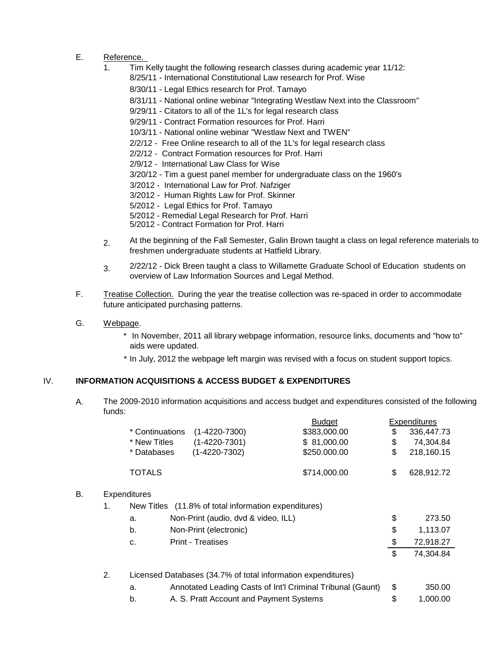- E. Reference.<br>1 Tim k
	- 1. Tim Kelly taught the following research classes during academic year 11/12:
		- 8/25/11 International Constitutional Law research for Prof. Wise
			- 8/30/11 Legal Ethics research for Prof. Tamayo
			- 8/31/11 National online webinar "Integrating Westlaw Next into the Classroom"
			- 9/29/11 Citators to all of the 1L's for legal research class
			- 9/29/11 Contract Formation resources for Prof. Harri
			- 10/3/11 National online webinar "Westlaw Next and TWEN"
			- 2/2/12 Free Online research to all of the 1L's for legal research class
			- 2/2/12 Contract Formation resources for Prof. Harri
			- 2/9/12 International Law Class for Wise
			- 3/20/12 Tim a guest panel member for undergraduate class on the 1960's
			- 3/2012 International Law for Prof. Nafziger
			- 3/2012 Human Rights Law for Prof. Skinner
			- 5/2012 Legal Ethics for Prof. Tamayo
			- 5/2012 Remedial Legal Research for Prof. Harri
			- 5/2012 Contract Formation for Prof. Harri
	- 2. At the beginning of the Fall Semester, Galin Brown taught a class on legal reference materials to freshmen undergraduate students at Hatfield Library.
	- 3. 2/22/12 - Dick Breen taught a class to Willamette Graduate School of Education students on overview of Law Information Sources and Legal Method.
- F. Treatise Collection. During the year the treatise collection was re-spaced in order to accommodate future anticipated purchasing patterns.
- G. Webpage.
	- \* In November, 2011 all library webpage information, resource links, documents and "how to" aids were updated.
	- \* In July, 2012 the webpage left margin was revised with a focus on student support topics.

# IV. **INFORMATION ACQUISITIONS & ACCESS BUDGET & EXPENDITURES**

A. The 2009-2010 information acquisitions and access budget and expenditures consisted of the following funds:

|    |    |                     |                                                      | <b>Budget</b>                                                |               | <b>Expenditures</b> |
|----|----|---------------------|------------------------------------------------------|--------------------------------------------------------------|---------------|---------------------|
|    |    | * Continuations     | $(1 - 4220 - 7300)$                                  | \$383,000.00                                                 | \$            | 336,447.73          |
|    |    | * New Titles        | $(1 - 4220 - 7301)$                                  | \$81,000.00                                                  | \$            | 74,304.84           |
|    |    | * Databases         | $(1 - 4220 - 7302)$                                  | \$250.000.00                                                 | \$            | 218,160.15          |
|    |    | TOTALS              |                                                      | \$714,000.00                                                 | \$            | 628,912.72          |
| В. |    | <b>Expenditures</b> |                                                      |                                                              |               |                     |
|    | 1. |                     | New Titles (11.8% of total information expenditures) |                                                              |               |                     |
|    |    | a.                  | Non-Print (audio, dvd & video, ILL)                  |                                                              | \$            | 273.50              |
|    |    | b.                  | Non-Print (electronic)                               |                                                              | \$            | 1,113.07            |
|    |    | C.                  | <b>Print - Treatises</b>                             |                                                              | $\frac{1}{2}$ | 72,918.27           |
|    |    |                     |                                                      |                                                              | \$            | 74,304.84           |
|    | 2. |                     |                                                      | Licensed Databases (34.7% of total information expenditures) |               |                     |
|    |    | a.                  |                                                      | Annotated Leading Casts of Int'l Criminal Tribunal (Gaunt)   | \$            | 350.00              |
|    |    | b.                  | A. S. Pratt Account and Payment Systems              |                                                              | \$            | 1,000.00            |
|    |    |                     |                                                      |                                                              |               |                     |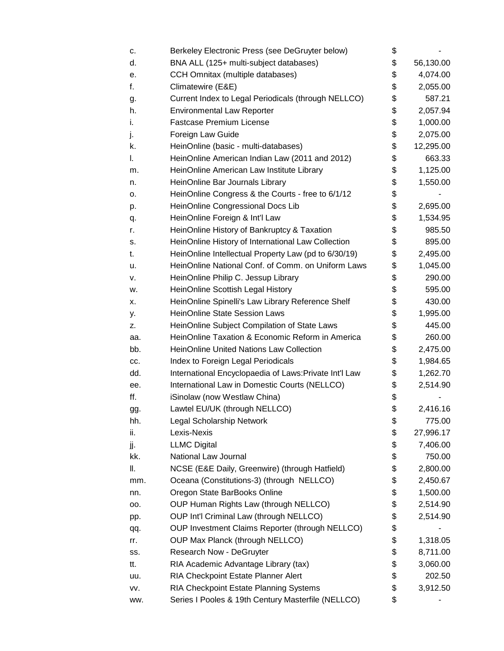| c.  | Berkeley Electronic Press (see DeGruyter below)        | \$              |
|-----|--------------------------------------------------------|-----------------|
| d.  | BNA ALL (125+ multi-subject databases)                 | \$<br>56,130.00 |
| е.  | CCH Omnitax (multiple databases)                       | \$<br>4,074.00  |
| f.  | Climatewire (E&E)                                      | \$<br>2,055.00  |
| g.  | Current Index to Legal Periodicals (through NELLCO)    | \$<br>587.21    |
| h.  | <b>Environmental Law Reporter</b>                      | \$<br>2,057.94  |
| i.  | <b>Fastcase Premium License</b>                        | \$<br>1,000.00  |
| j.  | Foreign Law Guide                                      | \$<br>2,075.00  |
| k.  | HeinOnline (basic - multi-databases)                   | \$<br>12,295.00 |
| I.  | HeinOnline American Indian Law (2011 and 2012)         | \$<br>663.33    |
| m.  | HeinOnline American Law Institute Library              | \$<br>1,125.00  |
| n.  | HeinOnline Bar Journals Library                        | \$<br>1,550.00  |
| о.  | HeinOnline Congress & the Courts - free to 6/1/12      | \$              |
| p.  | HeinOnline Congressional Docs Lib                      | \$<br>2,695.00  |
| q.  | HeinOnline Foreign & Int'l Law                         | \$<br>1,534.95  |
| r.  | HeinOnline History of Bankruptcy & Taxation            | \$<br>985.50    |
| s.  | HeinOnline History of International Law Collection     | \$<br>895.00    |
| t.  | HeinOnline Intellectual Property Law (pd to 6/30/19)   | \$<br>2,495.00  |
| u.  | HeinOnline National Conf. of Comm. on Uniform Laws     | \$<br>1,045.00  |
| ν.  | HeinOnline Philip C. Jessup Library                    | \$<br>290.00    |
| w.  | HeinOnline Scottish Legal History                      | \$<br>595.00    |
| х.  | HeinOnline Spinelli's Law Library Reference Shelf      | \$<br>430.00    |
| y.  | <b>HeinOnline State Session Laws</b>                   | \$<br>1,995.00  |
| z.  | HeinOnline Subject Compilation of State Laws           | \$<br>445.00    |
| aa. | HeinOnline Taxation & Economic Reform in America       | \$<br>260.00    |
| bb. | <b>HeinOnline United Nations Law Collection</b>        | \$<br>2,475.00  |
| CC. | Index to Foreign Legal Periodicals                     | \$<br>1,984.65  |
| dd. | International Encyclopaedia of Laws: Private Int'l Law | \$<br>1,262.70  |
| ee. | International Law in Domestic Courts (NELLCO)          | \$<br>2,514.90  |
| ff. | iSinolaw (now Westlaw China)                           | \$              |
| gg. | Lawtel EU/UK (through NELLCO)                          | \$<br>2,416.16  |
| hh. | Legal Scholarship Network                              | \$<br>775.00    |
| ii. | Lexis-Nexis                                            | \$<br>27,996.17 |
| jj. | <b>LLMC Digital</b>                                    | \$<br>7,406.00  |
| kk. | National Law Journal                                   | \$<br>750.00    |
| Ш.  | NCSE (E&E Daily, Greenwire) (through Hatfield)         | \$<br>2,800.00  |
| mm. | Oceana (Constitutions-3) (through NELLCO)              | \$<br>2,450.67  |
| nn. | Oregon State BarBooks Online                           | \$<br>1,500.00  |
| 00. | OUP Human Rights Law (through NELLCO)                  | \$<br>2,514.90  |
| pp. | OUP Int'l Criminal Law (through NELLCO)                | \$<br>2,514.90  |
| qq. | OUP Investment Claims Reporter (through NELLCO)        | \$              |
| rr. | OUP Max Planck (through NELLCO)                        | \$<br>1,318.05  |
| SS. | Research Now - DeGruyter                               | \$<br>8,711.00  |
| tt. | RIA Academic Advantage Library (tax)                   | \$<br>3,060.00  |
| uu. | RIA Checkpoint Estate Planner Alert                    | \$<br>202.50    |
| VV. | RIA Checkpoint Estate Planning Systems                 | \$<br>3,912.50  |
| ww. | Series I Pooles & 19th Century Masterfile (NELLCO)     | \$              |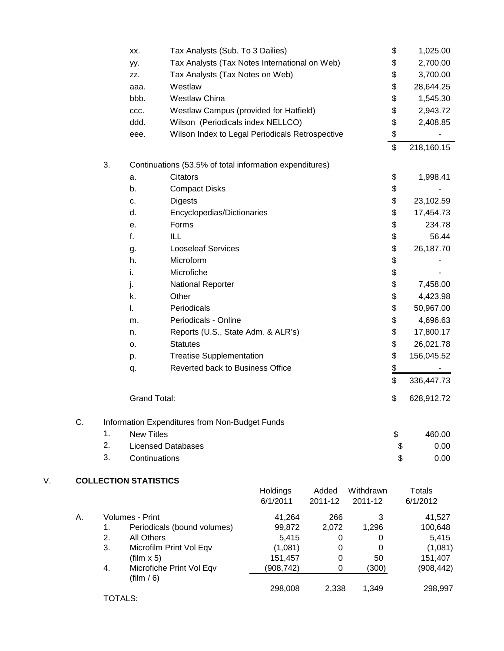|    |    |                | XX.                          | Tax Analysts (Sub. To 3 Dailies)                        |                       |                  |                      | \$             | 1,025.00                  |
|----|----|----------------|------------------------------|---------------------------------------------------------|-----------------------|------------------|----------------------|----------------|---------------------------|
|    |    |                | yy.                          | Tax Analysts (Tax Notes International on Web)           |                       |                  |                      | \$             | 2,700.00                  |
|    |    |                | ZZ.                          | Tax Analysts (Tax Notes on Web)                         |                       |                  |                      | \$             | 3,700.00                  |
|    |    |                | aaa.                         | Westlaw                                                 |                       |                  |                      | \$             | 28,644.25                 |
|    |    |                | bbb.                         | <b>Westlaw China</b>                                    |                       |                  |                      | \$             | 1,545.30                  |
|    |    |                | CCC.                         | Westlaw Campus (provided for Hatfield)                  |                       |                  |                      | \$             | 2,943.72                  |
|    |    |                | ddd.                         | Wilson (Periodicals index NELLCO)                       |                       |                  |                      | \$             | 2,408.85                  |
|    |    |                | eee.                         | Wilson Index to Legal Periodicals Retrospective         |                       |                  |                      | \$             |                           |
|    |    |                |                              |                                                         |                       |                  |                      | $\mathfrak{S}$ | 218,160.15                |
|    |    | 3.             |                              | Continuations (53.5% of total information expenditures) |                       |                  |                      |                |                           |
|    |    |                | a.                           | Citators                                                |                       |                  |                      | \$             | 1,998.41                  |
|    |    |                | b.                           | <b>Compact Disks</b>                                    |                       |                  |                      | \$             |                           |
|    |    |                | c.                           | <b>Digests</b>                                          |                       |                  |                      | \$             | 23,102.59                 |
|    |    |                | d.                           | Encyclopedias/Dictionaries                              |                       |                  |                      | \$             | 17,454.73                 |
|    |    |                | е.                           | Forms                                                   |                       |                  |                      | \$             | 234.78                    |
|    |    |                | f.                           | ILL                                                     |                       |                  |                      | \$             | 56.44                     |
|    |    |                | g.                           | <b>Looseleaf Services</b>                               |                       |                  |                      | \$             | 26,187.70                 |
|    |    |                | h.                           | Microform                                               |                       |                  |                      | \$             |                           |
|    |    |                | i.                           | Microfiche                                              |                       |                  |                      | \$             |                           |
|    |    |                | j.                           | National Reporter                                       |                       |                  |                      | \$             | 7,458.00                  |
|    |    |                | k.                           | Other                                                   |                       |                  |                      | \$             | 4,423.98                  |
|    |    |                | I.                           | Periodicals                                             |                       |                  |                      | \$             | 50,967.00                 |
|    |    |                | m.                           | Periodicals - Online                                    |                       |                  |                      | \$             | 4,696.63                  |
|    |    |                | n.                           | Reports (U.S., State Adm. & ALR's)                      |                       |                  |                      | \$             | 17,800.17                 |
|    |    |                | о.                           | <b>Statutes</b>                                         |                       |                  |                      | \$             | 26,021.78                 |
|    |    |                | p.                           | <b>Treatise Supplementation</b>                         |                       |                  |                      | \$             | 156,045.52                |
|    |    |                | q.                           | Reverted back to Business Office                        |                       |                  |                      | $\frac{1}{2}$  |                           |
|    |    |                |                              |                                                         |                       |                  |                      | \$             | 336,447.73                |
|    |    |                | <b>Grand Total:</b>          |                                                         |                       |                  |                      | \$             | 628,912.72                |
|    | C. |                |                              | Information Expenditures from Non-Budget Funds          |                       |                  |                      |                |                           |
|    |    | 1.             | <b>New Titles</b>            |                                                         |                       |                  |                      | \$             | 460.00                    |
|    |    | 2.             |                              | <b>Licensed Databases</b>                               |                       |                  |                      | \$             | 0.00                      |
|    |    | 3.             | Continuations                |                                                         |                       |                  |                      | \$             | 0.00                      |
| V. |    |                | <b>COLLECTION STATISTICS</b> |                                                         |                       |                  |                      |                |                           |
|    |    |                |                              |                                                         | Holdings<br>6/1/2011  | Added<br>2011-12 | Withdrawn<br>2011-12 |                | <b>Totals</b><br>6/1/2012 |
|    | Α. |                | Volumes - Print              |                                                         | 41,264                | 266              | 3                    |                | 41,527                    |
|    |    | 1.             |                              | Periodicals (bound volumes)                             | 99,872                | 2,072            | 1,296                |                | 100,648                   |
|    |    | 2.             | <b>All Others</b>            |                                                         | 5,415                 | 0                | 0                    |                | 5,415                     |
|    |    | 3.             |                              | Microfilm Print Vol Eqv                                 | (1,081)               | 0                | 0<br>50              |                | (1,081)                   |
|    |    | 4.             | $(film \times 5)$            | Microfiche Print Vol Eqv                                | 151,457<br>(908, 742) | 0<br>0           | (300)                |                | 151,407<br>(908, 442)     |
|    |    |                | $(\text{film } / 6)$         |                                                         |                       |                  |                      |                |                           |
|    |    | <b>TOTALS:</b> |                              |                                                         | 298,008               | 2,338            | 1,349                |                | 298,997                   |
|    |    |                |                              |                                                         |                       |                  |                      |                |                           |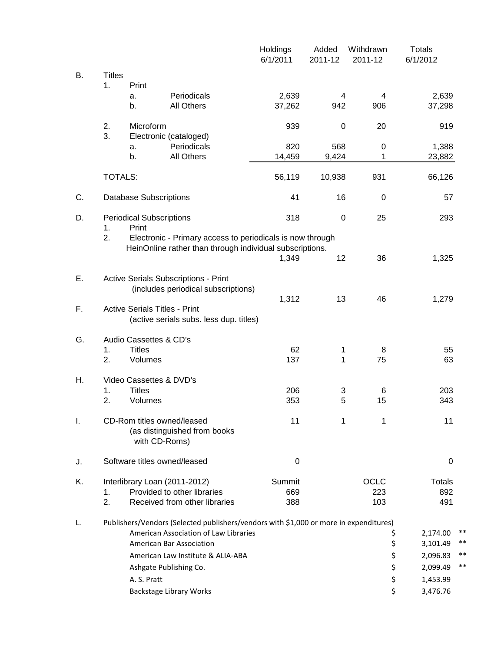|    |                     |                                             |                                                                                               | Holdings<br>6/1/2011 | Added<br>2011-12 | Withdrawn<br>2011-12      | <b>Totals</b><br>6/1/2012        |          |
|----|---------------------|---------------------------------------------|-----------------------------------------------------------------------------------------------|----------------------|------------------|---------------------------|----------------------------------|----------|
| В. | <b>Titles</b><br>1. | Print                                       |                                                                                               |                      |                  |                           |                                  |          |
|    |                     | a.<br>b.                                    | Periodicals<br><b>All Others</b>                                                              | 2,639<br>37,262      | 4<br>942         | 4<br>906                  | 2,639<br>37,298                  |          |
|    | 2.<br>3.            | Microform                                   | Electronic (cataloged)                                                                        | 939                  | $\mathbf 0$      | 20                        | 919                              |          |
|    |                     | a.<br>b.                                    | Periodicals<br>All Others                                                                     | 820<br>14,459        | 568<br>9,424     | 0<br>1                    | 1,388<br>23,882                  |          |
|    | <b>TOTALS:</b>      |                                             |                                                                                               | 56,119               | 10,938           | 931                       | 66,126                           |          |
| C. |                     | <b>Database Subscriptions</b>               |                                                                                               | 41                   | 16               | 0                         | 57                               |          |
| D. | 1.                  | <b>Periodical Subscriptions</b><br>Print    |                                                                                               | 318                  | $\pmb{0}$        | 25                        | 293                              |          |
|    | 2.                  |                                             | Electronic - Primary access to periodicals is now through                                     |                      |                  |                           |                                  |          |
|    |                     |                                             | HeinOnline rather than through individual subscriptions.                                      | 1,349                | 12               | 36                        | 1,325                            |          |
| Е. |                     |                                             | <b>Active Serials Subscriptions - Print</b><br>(includes periodical subscriptions)            |                      |                  |                           |                                  |          |
| F. |                     | <b>Active Serials Titles - Print</b>        | (active serials subs. less dup. titles)                                                       | 1,312                | 13               | 46                        | 1,279                            |          |
| G. |                     | Audio Cassettes & CD's                      |                                                                                               |                      |                  |                           |                                  |          |
|    | 1.<br>2.            | <b>Titles</b><br>Volumes                    |                                                                                               | 62<br>137            | 1<br>1           | 8<br>75                   | 55<br>63                         |          |
| Н. |                     | Video Cassettes & DVD's                     |                                                                                               |                      |                  |                           |                                  |          |
|    | 1.<br>2.            | <b>Titles</b><br>Volumes                    |                                                                                               | 206<br>353           | 3<br>5           | 6<br>15                   | 203<br>343                       |          |
| Ι. |                     | CD-Rom titles owned/leased<br>with CD-Roms) | (as distinguished from books                                                                  | 11                   | 1                | 1                         | 11                               |          |
| J. |                     | Software titles owned/leased                |                                                                                               | 0                    |                  |                           | 0                                |          |
| K. | 1.<br>2.            |                                             | Interlibrary Loan (2011-2012)<br>Provided to other libraries<br>Received from other libraries | Summit<br>669<br>388 |                  | <b>OCLC</b><br>223<br>103 | <b>Totals</b><br>892<br>491      |          |
| L. |                     |                                             | Publishers/Vendors (Selected publishers/vendors with \$1,000 or more in expenditures)         |                      |                  |                           |                                  |          |
|    |                     |                                             | American Association of Law Libraries<br>American Bar Association                             |                      |                  |                           | \$<br>2,174.00<br>\$<br>3,101.49 | **<br>** |
|    |                     |                                             | American Law Institute & ALIA-ABA                                                             |                      |                  |                           | \$<br>2,096.83                   | **       |
|    |                     |                                             | Ashgate Publishing Co.                                                                        |                      |                  |                           | \$<br>2,099.49                   | **       |
|    |                     | A. S. Pratt                                 |                                                                                               |                      |                  |                           | \$<br>1,453.99                   |          |
|    |                     |                                             | Backstage Library Works                                                                       |                      |                  |                           | \$<br>3,476.76                   |          |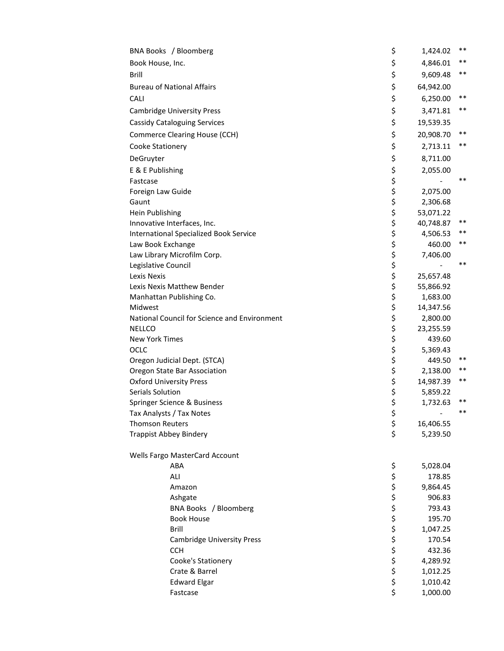|                                | BNA Books / Bloomberg                                                        | \$         | 1,424.02  | $***$ |
|--------------------------------|------------------------------------------------------------------------------|------------|-----------|-------|
| Book House, Inc.               |                                                                              | \$         | 4,846.01  | $***$ |
| Brill                          |                                                                              | \$         | 9,609.48  | **    |
|                                | <b>Bureau of National Affairs</b>                                            | \$         | 64,942.00 |       |
| CALI                           |                                                                              | \$         | 6,250.00  | **    |
|                                | <b>Cambridge University Press</b>                                            | \$         | 3,471.81  | $***$ |
|                                | <b>Cassidy Cataloguing Services</b>                                          | \$         | 19,539.35 |       |
|                                | Commerce Clearing House (CCH)                                                | \$         | 20,908.70 | $***$ |
|                                |                                                                              | \$         |           | $***$ |
| Cooke Stationery               |                                                                              |            | 2,713.11  |       |
| DeGruyter                      |                                                                              | \$         | 8,711.00  |       |
| E & E Publishing               |                                                                              | \$         | 2,055.00  |       |
| Fastcase                       |                                                                              | \$<br>\$   |           | $***$ |
| Foreign Law Guide              |                                                                              |            | 2,075.00  |       |
| Gaunt                          |                                                                              | \$<br>\$   | 2,306.68  |       |
| Hein Publishing                |                                                                              |            | 53,071.22 | $***$ |
|                                | Innovative Interfaces, Inc.<br><b>International Specialized Book Service</b> | \$<br>\$   | 40,748.87 | $***$ |
|                                |                                                                              | \$         | 4,506.53  | $***$ |
| Law Book Exchange              |                                                                              | \$         | 460.00    |       |
| Legislative Council            | Law Library Microfilm Corp.                                                  | \$         | 7,406.00  | $***$ |
| Lexis Nexis                    |                                                                              | \$         | 25,657.48 |       |
|                                | Lexis Nexis Matthew Bender                                                   | \$         | 55,866.92 |       |
|                                | Manhattan Publishing Co.                                                     | \$         | 1,683.00  |       |
| Midwest                        |                                                                              | \$         | 14,347.56 |       |
|                                | National Council for Science and Environment                                 | \$         | 2,800.00  |       |
| <b>NELLCO</b>                  |                                                                              | \$         | 23,255.59 |       |
| New York Times                 |                                                                              | \$         | 439.60    |       |
| OCLC                           |                                                                              | \$         | 5,369.43  |       |
|                                | Oregon Judicial Dept. (STCA)                                                 | \$         | 449.50    | **    |
|                                | Oregon State Bar Association                                                 | \$         | 2,138.00  | **    |
| <b>Oxford University Press</b> |                                                                              | \$         | 14,987.39 | $***$ |
| Serials Solution               |                                                                              | \$         | 5,859.22  |       |
|                                | Springer Science & Business                                                  | \$         | 1,732.63  | $***$ |
|                                | Tax Analysts / Tax Notes                                                     | \$         |           | $***$ |
| <b>Thomson Reuters</b>         |                                                                              | \$         | 16,406.55 |       |
| <b>Trappist Abbey Bindery</b>  |                                                                              | \$         | 5,239.50  |       |
|                                | Wells Fargo MasterCard Account                                               |            |           |       |
|                                | ABA                                                                          | \$         | 5,028.04  |       |
|                                | ALI                                                                          | やややややややややや | 178.85    |       |
|                                | Amazon                                                                       |            | 9,864.45  |       |
|                                | Ashgate                                                                      |            | 906.83    |       |
|                                | BNA Books / Bloomberg                                                        |            | 793.43    |       |
|                                | <b>Book House</b>                                                            |            | 195.70    |       |
|                                | <b>Brill</b>                                                                 |            | 1,047.25  |       |
|                                | <b>Cambridge University Press</b>                                            |            | 170.54    |       |
|                                | <b>CCH</b>                                                                   |            | 432.36    |       |
|                                | Cooke's Stationery                                                           |            | 4,289.92  |       |
|                                | Crate & Barrel                                                               |            | 1,012.25  |       |
|                                | <b>Edward Elgar</b>                                                          |            | 1,010.42  |       |
|                                | Fastcase                                                                     | \$         | 1,000.00  |       |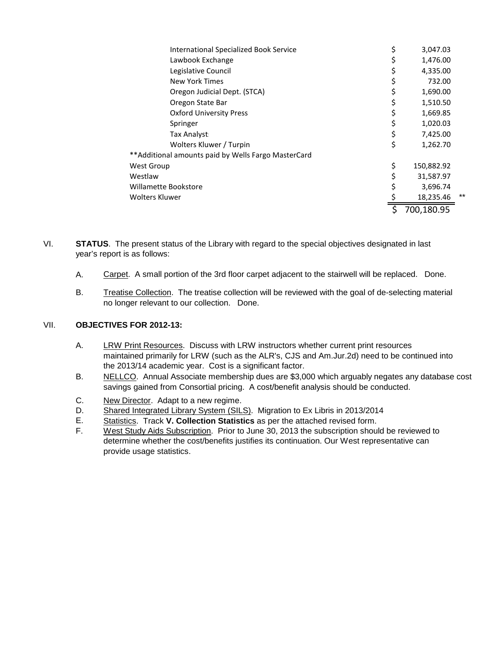| <b>International Specialized Book Service</b>       | \$<br>3,047.03   |       |
|-----------------------------------------------------|------------------|-------|
| Lawbook Exchange                                    | 1,476.00         |       |
| Legislative Council                                 | 4,335.00         |       |
| New York Times                                      | \$<br>732.00     |       |
| Oregon Judicial Dept. (STCA)                        | 1,690.00         |       |
| Oregon State Bar                                    | 1,510.50         |       |
| <b>Oxford University Press</b>                      | 1,669.85         |       |
| Springer                                            | 1,020.03         |       |
| Tax Analyst:                                        | 7,425.00         |       |
| Wolters Kluwer / Turpin                             | \$<br>1,262.70   |       |
| **Additional amounts paid by Wells Fargo MasterCard |                  |       |
| <b>West Group</b>                                   | \$<br>150,882.92 |       |
| Westlaw                                             | 31,587.97        |       |
| Willamette Bookstore                                | 3,696.74         |       |
| Wolters Kluwer                                      | 18,235.46        | $***$ |
|                                                     | 700,180.95       |       |

VI. **STATUS**. The present status of the Library with regard to the special objectives designated in last year's report is as follows:

- A. Carpet. A small portion of the 3rd floor carpet adjacent to the stairwell will be replaced. Done.
- B. Treatise Collection. The treatise collection will be reviewed with the goal of de-selecting material no longer relevant to our collection. Done.

# VII. **OBJECTIVES FOR 2012-13:**

- A. LRW Print Resources. Discuss with LRW instructors whether current print resources maintained primarily for LRW (such as the ALR's, CJS and Am.Jur.2d) need to be continued into the 2013/14 academic year. Cost is a significant factor.
- B. NELLCO. Annual Associate membership dues are \$3,000 which arguably negates any database cost savings gained from Consortial pricing. A cost/benefit analysis should be conducted.
- C. New Director. Adapt to a new regime.
- D. Shared Integrated Library System (SILS). Migration to Ex Libris in 2013/2014
- E. Statistics. Track **V. Collection Statistics** as per the attached revised form.
- F. West Study Aids Subscription. Prior to June 30, 2013 the subscription should be reviewed to determine whether the cost/benefits justifies its continuation. Our West representative can provide usage statistics.